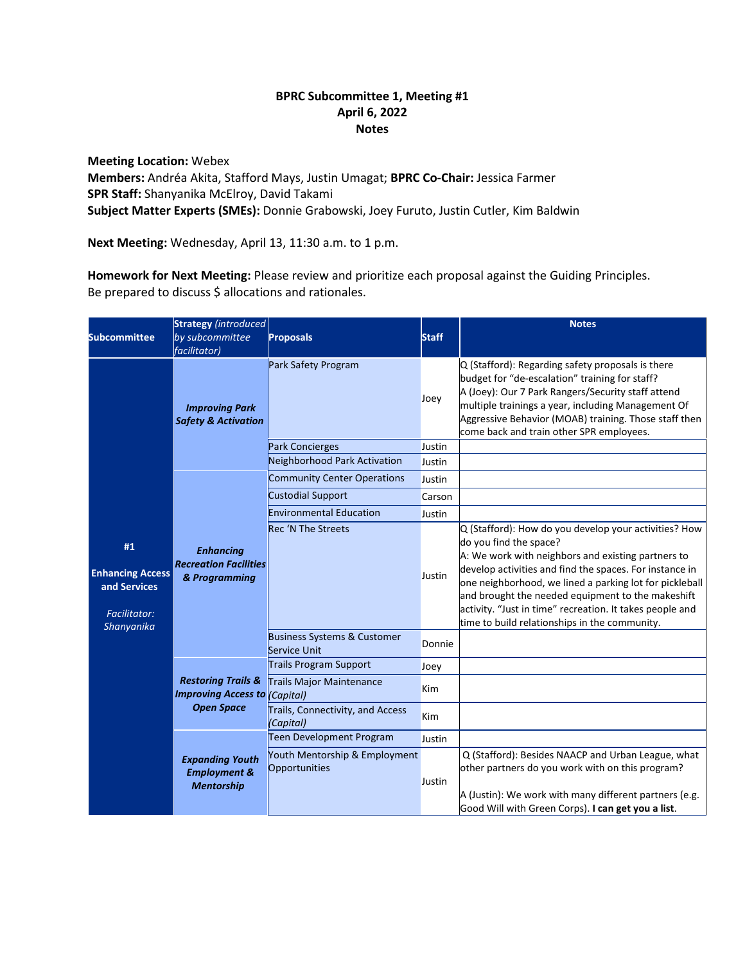# **BPRC Subcommittee 1, Meeting #1 April 6, 2022 Notes**

**Meeting Location:** Webex **Members:** Andréa Akita, Stafford Mays, Justin Umagat; **BPRC Co-Chair:** Jessica Farmer **SPR Staff:** Shanyanika McElroy, David Takami **Subject Matter Experts (SMEs):** Donnie Grabowski, Joey Furuto, Justin Cutler, Kim Baldwin

**Next Meeting:** Wednesday, April 13, 11:30 a.m. to 1 p.m.

**Homework for Next Meeting:** Please review and prioritize each proposal against the Guiding Principles. Be prepared to discuss \$ allocations and rationales.

|                                                                                    | <b>Strategy</b> (introduced                                                                |                                                |              | <b>Notes</b>                                                                                                                                                                                                                                                                                                                                                                                                                  |
|------------------------------------------------------------------------------------|--------------------------------------------------------------------------------------------|------------------------------------------------|--------------|-------------------------------------------------------------------------------------------------------------------------------------------------------------------------------------------------------------------------------------------------------------------------------------------------------------------------------------------------------------------------------------------------------------------------------|
| <b>Subcommittee</b>                                                                | by subcommittee                                                                            | <b>Proposals</b>                               | <b>Staff</b> |                                                                                                                                                                                                                                                                                                                                                                                                                               |
|                                                                                    | <i>facilitator</i> )                                                                       |                                                |              |                                                                                                                                                                                                                                                                                                                                                                                                                               |
| #1<br><b>Enhancing Access</b><br>and Services<br><b>Facilitator:</b><br>Shanyanika | <b>Improving Park</b><br><b>Safety &amp; Activation</b>                                    | Park Safety Program                            | Joey         | Q (Stafford): Regarding safety proposals is there<br>budget for "de-escalation" training for staff?<br>A (Joey): Our 7 Park Rangers/Security staff attend<br>multiple trainings a year, including Management Of<br>Aggressive Behavior (MOAB) training. Those staff then<br>come back and train other SPR employees.                                                                                                          |
|                                                                                    |                                                                                            | Park Concierges                                | Justin       |                                                                                                                                                                                                                                                                                                                                                                                                                               |
|                                                                                    |                                                                                            | Neighborhood Park Activation                   | Justin       |                                                                                                                                                                                                                                                                                                                                                                                                                               |
|                                                                                    | <b>Enhancing</b><br><b>Recreation Facilities</b><br>& Programming                          | Community Center Operations                    | Justin       |                                                                                                                                                                                                                                                                                                                                                                                                                               |
|                                                                                    |                                                                                            | <b>Custodial Support</b>                       | Carson       |                                                                                                                                                                                                                                                                                                                                                                                                                               |
|                                                                                    |                                                                                            | <b>Environmental Education</b>                 | Justin       |                                                                                                                                                                                                                                                                                                                                                                                                                               |
|                                                                                    |                                                                                            | <b>Rec 'N The Streets</b>                      | Justin       | Q (Stafford): How do you develop your activities? How<br>do you find the space?<br>A: We work with neighbors and existing partners to<br>develop activities and find the spaces. For instance in<br>one neighborhood, we lined a parking lot for pickleball<br>and brought the needed equipment to the makeshift<br>activity. "Just in time" recreation. It takes people and<br>time to build relationships in the community. |
|                                                                                    |                                                                                            | Business Systems & Customer<br>Service Unit    | Donnie       |                                                                                                                                                                                                                                                                                                                                                                                                                               |
|                                                                                    | <b>Restoring Trails &amp;</b><br><b>Improving Access to (Capital)</b><br><b>Open Space</b> | <b>Trails Program Support</b>                  | Joey         |                                                                                                                                                                                                                                                                                                                                                                                                                               |
|                                                                                    |                                                                                            | Trails Major Maintenance                       | Kim          |                                                                                                                                                                                                                                                                                                                                                                                                                               |
|                                                                                    |                                                                                            | Trails, Connectivity, and Access<br>(Capital)  | <b>Kim</b>   |                                                                                                                                                                                                                                                                                                                                                                                                                               |
|                                                                                    | <b>Expanding Youth</b><br><b>Employment &amp;</b><br><b>Mentorship</b>                     | Teen Development Program                       | Justin       |                                                                                                                                                                                                                                                                                                                                                                                                                               |
|                                                                                    |                                                                                            | Youth Mentorship & Employment<br>Opportunities | Justin       | Q (Stafford): Besides NAACP and Urban League, what<br>other partners do you work with on this program?<br>A (Justin): We work with many different partners (e.g.                                                                                                                                                                                                                                                              |
|                                                                                    |                                                                                            |                                                |              | Good Will with Green Corps). I can get you a list.                                                                                                                                                                                                                                                                                                                                                                            |